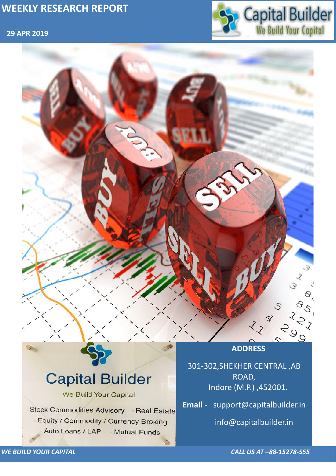### **29 APR 2019**



*WE BUILD YOUR CAPITAL CALL US AT –88-15278-555*



# **Capital Builder** We Build Your Capital Stock Commodities Advisory Real Estate Equity / Commodity / Currency Broking Auto Loans / LAP **Mutual Funds**

301-302,SHEKHER CENTRAL ,AB ROAD, Indore (M.P.) ,452001.

**Email** - support@capitalbuilder.in

info@capitalbuilder.in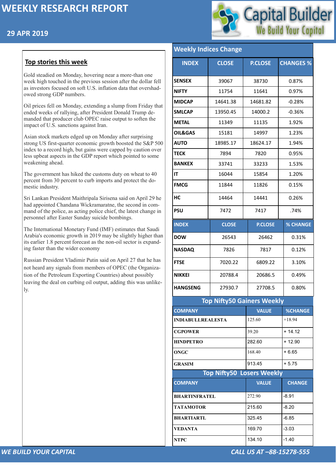### **29 APR 2019**



*WE BUILD YOUR CAPITAL CALL US AT –88-15278-555*

#### **Top stories this week**

Gold steadied on Monday, hovering near a more-than one week high touched in the previous session after the dollar fell as investors focused on soft U.S. inflation data that overshadowed strong GDP numbers.

Oil prices fell on Monday, extending a slump from Friday that ended weeks of rallying, after President Donald Trump demanded that producer club OPEC raise output to soften the impact of U.S. sanctions against Iran.

Asian stock markets edged up on Monday after surprising strong US first-quarter economic growth boosted the S&P 500 index to a record high, but gains were capped by caution over less upbeat aspects in the GDP report which pointed to some weakening ahead.

The government has hiked the customs duty on wheat to 40 percent from 30 percent to curb imports and protect the domestic industry.

Sri Lankan President Maithripala Sirisena said on April 29 he had appointed Chandana Wickramaratne, the second in command of the police, as acting police chief, the latest change in personnel after Easter Sunday suicide bombings.

The International Monetary Fund (IMF) estimates that Saudi Arabia's economic growth in 2019 may be slightly higher than its earlier 1.8 percent forecast as the non-oil sector is expanding faster than the wider economy

Russian President Vladimir Putin said on April 27 that he has not heard any signals from members of OPEC (the Organization of the Petroleum Exporting Countries) about possibly leaving the deal on curbing oil output, adding this was unlikely.

#### Weekly Indices Chan

| <b><i>INCENTY THUILES CHANGE</i></b> |              |                |                  |  |  |  |
|--------------------------------------|--------------|----------------|------------------|--|--|--|
| <b>INDEX</b>                         | <b>CLOSE</b> | <b>P.CLOSE</b> | <b>CHANGES %</b> |  |  |  |
| <b>SENSEX</b>                        | 39067        | 38730          | 0.87%            |  |  |  |
| <b>NIFTY</b>                         | 11754        | 11641          | 0.97%            |  |  |  |
| <b>MIDCAP</b>                        | 14641.38     | 14681.82       | $-0.28%$         |  |  |  |
| <b>SMLCAP</b>                        | 13950.45     | 14000.2        | $-0.36%$         |  |  |  |
| <b>METAL</b>                         | 11349        | 11135          | 1.92%            |  |  |  |
| <b>OIL&amp;GAS</b>                   | 15181        | 14997          | 1.23%            |  |  |  |
| <b>AUTO</b>                          | 18985.17     | 18624.17       | 1.94%            |  |  |  |
| <b>TECK</b>                          | 7894         | 7820           | 0.95%            |  |  |  |
| <b>BANKEX</b>                        | 33741        | 33233          | 1.53%            |  |  |  |
| IT                                   | 16044        | 15854          | 1.20%            |  |  |  |
| <b>FMCG</b>                          | 11844        | 11826          | 0.15%            |  |  |  |
| HC                                   | 14464        | 14441          | 0.26%            |  |  |  |
| <b>PSU</b>                           | 7472         | 7417           | .74%             |  |  |  |
| <b>INDEX</b>                         | <b>CLOSE</b> | <b>P.CLOSE</b> | <b>% CHANGE</b>  |  |  |  |
| <b>DOW</b>                           | 26543        | 26462          | 0.31%            |  |  |  |
| <b>NASDAQ</b>                        | 7826         | 7817           | 0.12%            |  |  |  |
| <b>FTSE</b>                          | 7020.22      | 6809.22        | 3.10%            |  |  |  |
| <b>NIKKEI</b>                        | 20788.4      | 20686.5        | 0.49%            |  |  |  |
| <b>HANGSENG</b>                      | 27930.7      | 27708.5        | 0.80%            |  |  |  |
| <b>Top Nifty50 Gainers Weekly</b>    |              |                |                  |  |  |  |
| <b>COMPANY</b>                       |              | <b>VALUE</b>   | <b>%CHANGE</b>   |  |  |  |
| <b>INDIABULLREALESTA</b>             |              | 125.60         | $+18.94$         |  |  |  |
| <b>CGPOWER</b>                       |              | 39.20          | $+14.12$         |  |  |  |
| <b>HINDPETRO</b>                     |              | 282.60         | $+12.90$         |  |  |  |

**ONGC** 168.40 + 6.65

| <b>GRASIM</b>        | 913.45                           | $+ 5.75$      |  |  |
|----------------------|----------------------------------|---------------|--|--|
|                      | <b>Top Nifty50 Losers Weekly</b> |               |  |  |
| <b>COMPANY</b>       | <b>VALUE</b>                     | <b>CHANGE</b> |  |  |
| <b>BHARTINFRATEL</b> | 272.90                           | $-8.91$       |  |  |
| <b>TATAMOTOR</b>     | 215.60                           | $-8.20$       |  |  |
| <b>BHARTIARTL</b>    | 325.45                           | $-6.85$       |  |  |
| <b>VEDANTA</b>       | 169.70                           | $-3.03$       |  |  |
| <b>NTPC</b>          | 134.10                           | $-1.40$       |  |  |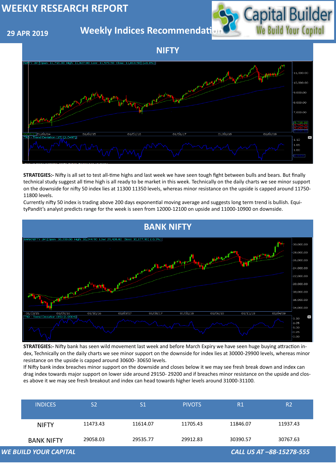#### **29 APR 2019**

**Weekly Indices Recommendati** 



| <b>WE BUILD YOUR CAPITAL</b> |                |                |               |          | CALL US AT -88-15278-555 |
|------------------------------|----------------|----------------|---------------|----------|--------------------------|
| <b>BANK NIFTY</b>            | 29058.03       | 29535.77       | 29912.83      | 30390.57 | 30767.63                 |
| <b>NIFTY</b>                 | 11473.43       | 11614.07       | 11705.43      | 11846.07 | 11937.43                 |
| <b>INDICES</b>               | S <sub>2</sub> | S <sub>1</sub> | <b>PIVOTS</b> | R1       | R <sub>2</sub>           |

#### **NIFTY**





**STRATEGIES:-** Nifty is all set to test all-time highs and last week we have seen tough fight between bulls and bears. But finally technical study suggest all time high is all ready to be market in this week. Technically on the daily charts we see minor support on the downside for nifty 50 index lies at 11300 11350 levels, whereas minor resistance on the upside is capped around 11750- 11800 levels.

Currently nifty 50 index is trading above 200 days exponential moving average and suggests long term trend is bullish. EquityPandit's analyst predicts range for the week is seen from 12000-12100 on upside and 11000-10900 on downside.

**STRATEGIES:-** Nifty bank has seen wild movement last week and before March Expiry we have seen huge buying attraction index, Technically on the daily charts we see minor support on the downside for index lies at 30000-29900 levels, whereas minor

resistance on the upside is capped around 30600- 30650 levels.

If Nifty bank index breaches minor support on the downside and closes below it we may see fresh break down and index can drag index towards major support on lower side around 29150- 29200 and if breaches minor resistance on the upside and closes above it we may see fresh breakout and index can head towards higher levels around 31000-31100.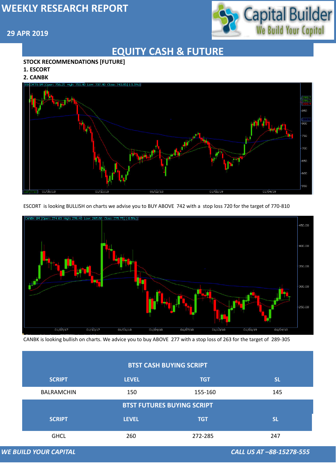#### **29 APR 2019**



## **EQUITY CASH & FUTURE**

#### **STOCK RECOMMENDATIONS [FUTURE]**

- **1. ESCORT**
- **2. CANBK**



#### **BTST CASH BUYING SCRIPT**

ESCORT is looking BULLISH on charts we advise you to BUY ABOVE 742 with a stop loss 720 for the target of 770-810



|                                   | <b>SCRIPT</b>                | <b>LEVEL</b> | <b>TGT</b> | <b>SL</b>                |  |
|-----------------------------------|------------------------------|--------------|------------|--------------------------|--|
|                                   | <b>BALRAMCHIN</b>            | 150          | 155-160    | 145                      |  |
| <b>BTST FUTURES BUYING SCRIPT</b> |                              |              |            |                          |  |
|                                   | <b>SCRIPT</b>                | <b>LEVEL</b> | <b>TGT</b> | <b>SL</b>                |  |
|                                   | <b>GHCL</b>                  | 260          | 272-285    | 247                      |  |
|                                   | <b>WE BUILD YOUR CAPITAL</b> |              |            | CALL US AT -88-15278-555 |  |

CANBK is looking bullish on charts. We advice you to buy ABOVE 277 with a stop loss of 263 for the target of 289-305